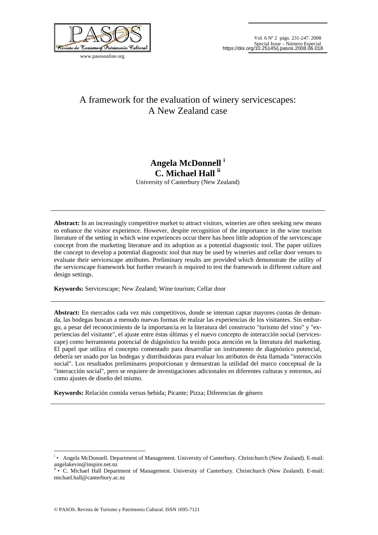

www.pasosonline.org

# A framework for the evaluation of winery servicescapes: A New Zealand case

# **Angela McDonnell <sup>i</sup> C. Michael Hall ii**

University of Canterbury (New Zealand)

**Abstract:** In an increasingly competitive market to attract visitors, wineries are often seeking new means to enhance the visitor experience. However, despite recognition of the importance in the wine tourism literature of the setting in which wine experiences occur there has been little adoption of the servicescape concept from the marketing literature and its adoption as a potential diagnostic tool. The paper utilizes the concept to develop a potential diagnostic tool that may be used by wineries and cellar door venues to evaluate their servicescape attributes. Preliminary results are provided which demonstrate the utility of the servicescape framework but further research is required to test the framework in different culture and design settings.

**Keywords:** Servicescape; New Zealand; Wine tourism; Cellar door

**Abstract:** En mercados cada vez más competitivos, donde se intentan captar mayores cuotas de demanda, las bodegas buscan a menudo nuevas formas de realzar las experiencias de los visitantes. Sin embargo, a pesar del reconocimiento de la importancia en la literatura del constructo "turismo del vino" y "experiencias del visitante", el ajuste entre éstas últimas y el nuevo concepto de interacción social (servicescape) como herramienta potencial de diágnóstico ha tenido poca atención en la literatura del marketing. El papel que utiliza el concepto comentado para desarrollar un instrumento de diagnóstico potencial, debería ser usado por las bodegas y distribuidoras para evaluar los atributos de ésta llamada "interacción social". Los resultados preliminares proporcionan y demuestran la utilidad del marco conceptual de la "interacción social", pero se requiere de investigaciones adicionales en diferentes culturas y entornos, así como ajustes de diseño del mismo.

**Keywords:** Relación comida versus bebida; Picante; Pizza; Diferencias de género

1

i • Angela McDonnell. Department of Management. University of Canterbury. Christchurch (New Zealand). E-mail: angelakevin@inspire.net.nz

<sup>•</sup> C. Michael Hall Department of Management. University of Canterbury. Christchurch (New Zealand). E-mail: michael.hall@canterbury.ac.nz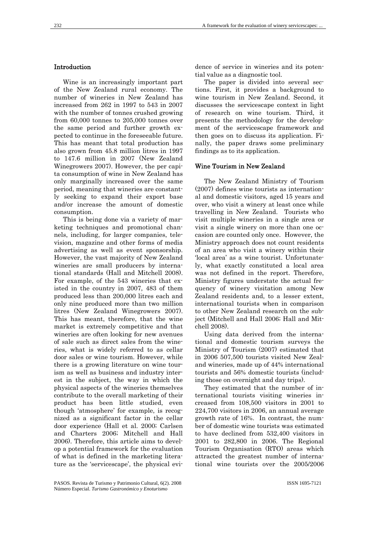### Introduction

Wine is an increasingly important part of the New Zealand rural economy. The number of wineries in New Zealand has increased from 262 in 1997 to 543 in 2007 with the number of tonnes crushed growing from 60,000 tonnes to 205,000 tonnes over the same period and further growth expected to continue in the foreseeable future. This has meant that total production has also grown from 45.8 million litres in 1997 to 147.6 million in 2007 (New Zealand Winegrowers 2007). However, the per capita consumption of wine in New Zealand has only marginally increased over the same period, meaning that wineries are constantly seeking to expand their export base and/or increase the amount of domestic consumption.

This is being done via a variety of marketing techniques and promotional channels, including, for larger companies, television, magazine and other forms of media advertising as well as event sponsorship. However, the vast majority of New Zealand wineries are small producers by international standards (Hall and Mitchell 2008). For example, of the 543 wineries that existed in the country in 2007, 483 of them produced less than 200,000 litres each and only nine produced more than two million litres (New Zealand Winegrowers 2007). This has meant, therefore, that the wine market is extremely competitive and that wineries are often looking for new avenues of sale such as direct sales from the wineries, what is widely referred to as cellar door sales or wine tourism. However, while there is a growing literature on wine tourism as well as business and industry interest in the subject, the way in which the physical aspects of the wineries themselves contribute to the overall marketing of their product has been little studied, even though 'atmosphere' for example, is recognized as a significant factor in the cellar door experience (Hall et al. 2000; Carlsen and Charters 2006; Mitchell and Hall 2006). Therefore, this article aims to develop a potential framework for the evaluation of what is defined in the marketing literature as the 'servicescape', the physical evidence of service in wineries and its potential value as a diagnostic tool.

The paper is divided into several sections. First, it provides a background to wine tourism in New Zealand. Second, it discusses the servicescape context in light of research on wine tourism. Third, it presents the methodology for the development of the servicescape framework and then goes on to discuss its application. Finally, the paper draws some preliminary findings as to its application.

### Wine Tourism in New Zealand

The New Zealand Ministry of Tourism (2007) defines wine tourists as international and domestic visitors, aged 15 years and over, who visit a winery at least once while travelling in New Zealand. Tourists who visit multiple wineries in a single area or visit a single winery on more than one occasion are counted only once. However, the Ministry approach does not count residents of an area who visit a winery within their 'local area' as a wine tourist. Unfortunately, what exactly constituted a local area was not defined in the report. Therefore, Ministry figures understate the actual frequency of winery visitation among New Zealand residents and, to a lesser extent, international tourists when in comparison to other New Zealand research on the subject (Mitchell and Hall 2006; Hall and Mitchell 2008).

Using data derived from the international and domestic tourism surveys the Ministry of Tourism (2007) estimated that in 2006 507,500 tourists visited New Zealand wineries, made up of 44% international tourists and 56% domestic tourists (including those on overnight and day trips).

They estimated that the number of international tourists visiting wineries increased from 108,500 visitors in 2001 to 224,700 visitors in 2006, an annual average growth rate of 16%. In contrast, the number of domestic wine tourists was estimated to have declined from 532,400 visitors in 2001 to 282,800 in 2006. The Regional Tourism Organisation (RTO) areas which attracted the greatest number of international wine tourists over the 2005/2006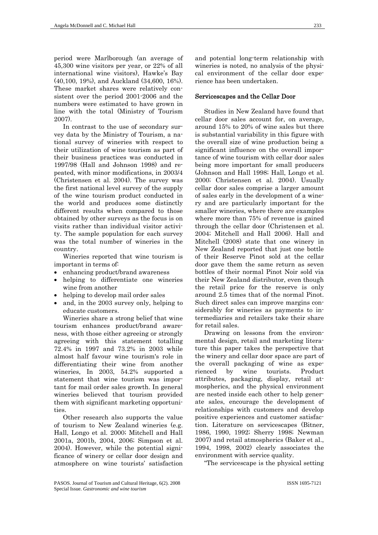period were Marlborough (an average of 45,300 wine visitors per year, or 22% of all international wine visitors), Hawke's Bay (40,100, 19%), and Auckland (34,600, 16%). These market shares were relatively consistent over the period 2001-2006 and the numbers were estimated to have grown in line with the total (Ministry of Tourism 2007).

In contrast to the use of secondary survey data by the Ministry of Tourism, a national survey of wineries with respect to their utilization of wine tourism as part of their business practices was conducted in 1997/98 (Hall and Johnson 1998) and repeated, with minor modifications, in 2003/4 (Christensen et al. 2004). The survey was the first national level survey of the supply of the wine tourism product conducted in the world and produces some distinctly different results when compared to those obtained by other surveys as the focus is on visits rather than individual visitor activity. The sample population for each survey was the total number of wineries in the country.

Wineries reported that wine tourism is important in terms of:

- enhancing product/brand awareness
- helping to differentiate one wineries wine from another
- helping to develop mail order sales
- and, in the 2003 survey only, helping to educate customers.

Wineries share a strong belief that wine tourism enhances product/brand awareness, with those either agreeing or strongly agreeing with this statement totalling 72.4% in 1997 and 73.2% in 2003 while almost half favour wine tourism's role in differentiating their wine from another wineries, In 2003, 54.2% supported a statement that wine tourism was important for mail order sales growth. In general wineries believed that tourism provided them with significant marketing opportunities.

Other research also supports the value of tourism to New Zealand wineries (e.g. Hall, Longo et al. 2000; Mitchell and Hall 2001a, 2001b, 2004, 2006; Simpson et al. 2004). However, while the potential significance of winery or cellar door design and atmosphere on wine tourists' satisfaction

and potential long-term relationship with wineries is noted, no analysis of the physical environment of the cellar door experience has been undertaken.

### Servicescapes and the Cellar Door

Studies in New Zealand have found that cellar door sales account for, on average, around 15% to 20% of wine sales but there is substantial variability in this figure with the overall size of wine production being a significant influence on the overall importance of wine tourism with cellar door sales being more important for small producers (Johnson and Hall 1998; Hall, Longo et al. 2000; Christensen et al. 2004). Usually cellar door sales comprise a larger amount of sales early in the development of a winery and are particularly important for the smaller wineries, where there are examples where more than 75% of revenue is gained through the cellar door (Christensen et al. 2004; Mitchell and Hall 2006). Hall and Mitchell (2008) state that one winery in New Zealand reported that just one bottle of their Reserve Pinot sold at the cellar door gave them the same return as seven bottles of their normal Pinot Noir sold via their New Zealand distributor, even though the retail price for the reserve is only around 2.5 times that of the normal Pinot. Such direct sales can improve margins considerably for wineries as payments to intermediaries and retailers take their share for retail sales.

Drawing on lessons from the environmental design, retail and marketing literature this paper takes the perspective that the winery and cellar door space are part of the overall packaging of wine as experienced by wine tourists. Product attributes, packaging, display, retail atmospherics, and the physical environment are nested inside each other to help generate sales, encourage the development of relationships with customers and develop positive experiences and customer satisfaction. Literature on servicescapes (Bitner, 1986, 1990, 1992; Sherry 1998; Newman 2007) and retail atmospherics (Baker et al., 1994, 1998, 2002) clearly associates the environment with service quality.

"The servicescape is the physical setting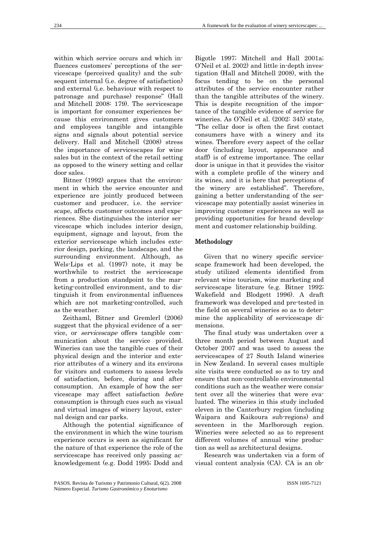within which service occurs and which influences customers' perceptions of the servicescape (perceived quality) and the subsequent internal (i.e. degree of satisfaction) and external (i.e. behaviour with respect to patronage and purchase) response" (Hall and Mitchell 2008: 179). The servicescape is important for consumer experiences because this environment gives customers and employees tangible and intangible signs and signals about potential service delivery. Hall and Mitchell (2008) stress the importance of servicescapes for wine sales but in the context of the retail setting as opposed to the winery setting and cellar door sales.

Bitner (1992) argues that the environment in which the service encounter and experience are jointly produced between customer and producer, i.e. the servicescape, affects customer outcomes and experiences. She distinguishes the interior servicescape which includes interior design, equipment, signage and layout, from the exterior servicescape which includes exterior design, parking, the landscape, and the surrounding environment. Although, as Wels-Lips et al. (1997) note, it may be worthwhile to restrict the servicescape from a production standpoint to the marketing-controlled environment, and to distinguish it from environmental influences which are not marketing-controlled, such as the weather.

Zeithaml, Bitner and Gremlerl (2006) suggest that the physical evidence of a service, or servicescape offers tangible communication about the service provided. Wineries can use the tangible cues of their physical design and the interior and exterior attributes of a winery and its environs for visitors and customers to assess levels of satisfaction, before, during and after consumption. An example of how the servicescape may affect satisfaction before consumption is through cues such as visual and virtual images of winery layout, external design and car parks.

Although the potential significance of the environment in which the wine tourism experience occurs is seen as significant for the nature of that experience the role of the servicescape has received only passing acknowledgement (e.g. Dodd 1995; Dodd and

Bigotle 1997; Mitchell and Hall 2001a; O'Neil et al. 2002) and little in-depth investigation (Hall and Mitchell 2008), with the focus tending to be on the personal attributes of the service encounter rather than the tangible attributes of the winery. This is despite recognition of the importance of the tangible evidence of service for wineries. As O'Neil et al. (2002: 345) state, "The cellar door is often the first contact consumers have with a winery and its wines. Therefore every aspect of the cellar door (including layout, appearance and staff) is of extreme importance. The cellar door is unique in that it provides the visitor with a complete profile of the winery and its wines, and it is here that perceptions of the winery are established". Therefore, gaining a better understanding of the servicescape may potentially assist wineries in improving customer experiences as well as providing opportunities for brand development and customer relationship building.

## Methodology

Given that no winery specific servicescape framework had been developed, the study utilized elements identified from relevant wine tourism, wine marketing and servicescape literature (e.g. Bitner 1992; Wakefield and Blodgett 1996). A draft framework was developed and pre-tested in the field on several wineries so as to determine the applicability of servicescape dimensions.

The final study was undertaken over a three month period between August and October 2007 and was used to assess the servicescapes of 27 South Island wineries in New Zealand. In several cases multiple site visits were conducted so as to try and ensure that non-controllable environmental conditions such as the weather were consistent over all the wineries that were evaluated. The wineries in this study included eleven in the Canterbury region (including Waipara and Kaikoura sub-regions) and seventeen in the Marlborough region. Wineries were selected so as to represent different volumes of annual wine production as well as architectural designs.

Research was undertaken via a form of visual content analysis (CA). CA is an ob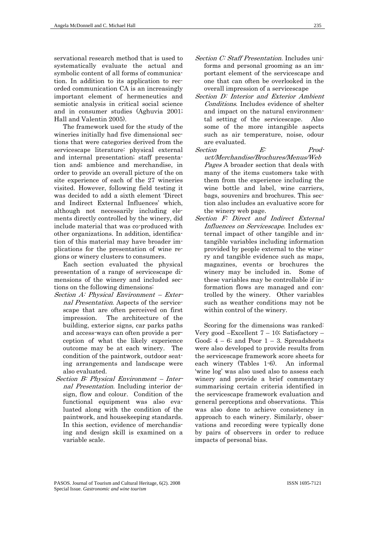servational research method that is used to systematically evaluate the actual and symbolic content of all forms of communication. In addition to its application to recorded communication CA is an increasingly important element of hermeneutics and semiotic analysis in critical social science and in consumer studies (Aghuvia 2001; Hall and Valentin 2005).

The framework used for the study of the wineries initially had five dimensional sections that were categories derived from the servicescape literature: physical external and internal presentation; staff presentation and; ambience and merchandise, in order to provide an overall picture of the on site experience of each of the 27 wineries visited. However, following field testing it was decided to add a sixth element 'Direct and Indirect External Influences' which, although not necessarily including elements directly controlled by the winery, did include material that was co-produced with other organizations. In addition, identification of this material may have broader implications for the presentation of wine regions or winery clusters to consumers.

Each section evaluated the physical presentation of a range of servicescape dimensions of the winery and included sections on the following dimensions:

- Section A: Physical Environment External Presentation. Aspects of the servicescape that are often perceived on first impression. The architecture of the building, exterior signs, car parks paths and access-ways can often provide a perception of what the likely experience outcome may be at each winery. The condition of the paintwork, outdoor seating arrangements and landscape were also evaluated.
- Section B: Physical Environment Internal Presentation. Including interior design, flow and colour. Condition of the functional equipment was also evaluated along with the condition of the paintwork, and housekeeping standards. In this section, evidence of merchandising and design skill is examined on a variable scale.
- Section C: Staff Presentation. Includes uniforms and personal grooming as an important element of the servicescape and one that can often be overlooked in the overall impression of a servicescape
- Section D: Interior and Exterior Ambient Conditions. Includes evidence of shelter and impact on the natural environmental setting of the servicescape. Also some of the more intangible aspects such as air temperature, noise, odour are evaluated.
- Section  $E$ : Product/Merchandise/Brochures/Menus/Web Pages A broader section that deals with many of the items customers take with them from the experience including the wine bottle and label, wine carriers, bags, souvenirs and brochures. This section also includes an evaluative score for the winery web page.
- Section F: Direct and Indirect External Influences on Servicescape. Includes external impact of other tangible and intangible variables including information provided by people external to the winery and tangible evidence such as maps, magazines, events or brochures the winery may be included in. Some of these variables may be controllable if information flows are managed and controlled by the winery. Other variables such as weather conditions may not be within control of the winery.

Scoring for the dimensions was ranked: Very good –Excellent  $7 - 10$ ; Satisfactory – Good;  $4 - 6$ ; and Poor  $1 - 3$ . Spreadsheets were also developed to provide results from the servicescape framework score sheets for each winery (Tables 1-6). An informal 'wine log' was also used also to assess each winery and provide a brief commentary summarising certain criteria identified in the servicescape framework evaluation and general perceptions and observations. This was also done to achieve consistency in approach to each winery. Similarly, observations and recording were typically done by pairs of observers in order to reduce impacts of personal bias.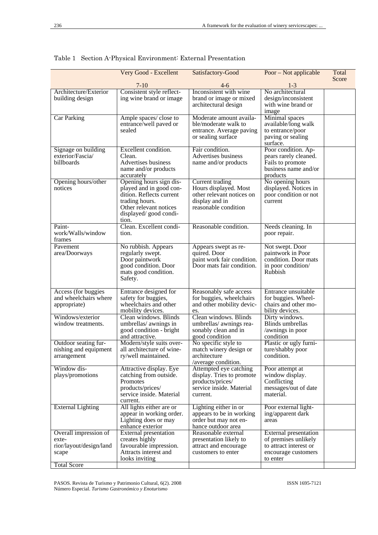|                                                                    | Very Good - Excellent                                                                                                                                         | Satisfactory-Good                                                                                               | Poor – Not applicable                                                                                      | Total |
|--------------------------------------------------------------------|---------------------------------------------------------------------------------------------------------------------------------------------------------------|-----------------------------------------------------------------------------------------------------------------|------------------------------------------------------------------------------------------------------------|-------|
|                                                                    | $7-10$                                                                                                                                                        | $4-6$                                                                                                           | $1 - 3$                                                                                                    | Score |
| Architecture/Exterior<br>building design                           | Consistent style reflect-<br>ing wine brand or image                                                                                                          | Inconsistent with wine<br>brand or image or mixed<br>architectural design                                       | No architectural<br>design/inconsistent<br>with wine brand or<br>image                                     |       |
| <b>Car Parking</b>                                                 | Ample spaces/close to<br>entrance/well paved or<br>sealed                                                                                                     | Moderate amount availa-<br>ble/moderate walk to<br>entrance. Average paving<br>or sealing surface               | Minimal spaces<br>available/long walk<br>to entrance/poor<br>paving or sealing<br>surface.                 |       |
| Signage on building<br>exterior/Fascia/<br>billboards              | Excellent condition.<br>Clean.<br>Advertises business<br>name and/or products<br>accurately                                                                   | Fair condition.<br>Advertises business<br>name and/or products                                                  | Poor condition. Ap-<br>pears rarely cleaned.<br>Fails to promote<br>business name and/or<br>products       |       |
| Opening hours/other<br>notices                                     | Opening hours sign dis-<br>played and in good con-<br>dition. Reflects current<br>trading hours.<br>Other relevant notices<br>displayed/ good condi-<br>tion. | Current trading<br>Hours displayed. Most<br>other relevant notices on<br>display and in<br>reasonable condition | No opening hours<br>displayed. Notices in<br>poor condition or not<br>current                              |       |
| Paint-<br>work/Walls/window<br>frames                              | Clean. Excellent condi-<br>tion.                                                                                                                              | Reasonable condition.                                                                                           | Needs cleaning. In<br>poor repair.                                                                         |       |
| Pavement<br>area/Doorways                                          | No rubbish. Appears<br>regularly swept.<br>Door paintwork<br>good condition. Door<br>mats good condition.<br>Safety.                                          | Appears swept as re-<br>quired. Door<br>paint work fair condition.<br>Door mats fair condition.                 | Not swept. Door<br>paintwork in Poor<br>condition. Door mats<br>in poor condition/<br>Rubbish              |       |
| Access (for buggies)<br>and wheelchairs where<br>appropriate)      | Entrance designed for<br>safety for buggies,<br>wheelchairs and other<br>mobility devices.                                                                    | Reasonably safe access<br>for buggies, wheelchairs<br>and other mobility devic-<br>es.                          | Entrance unsuitable<br>for buggies. Wheel-<br>chairs and other mo-<br>bility devices.                      |       |
| Windows/exterior<br>window treatments.                             | Clean windows. Blinds<br>umbrellas/ awnings in<br>good condition - bright<br>and attractive.                                                                  | Clean windows. Blinds<br>umbrellas/ awnings rea-<br>sonably clean and in<br>good condition                      | Dirty windows.<br><b>Blinds</b> umbrellas<br>/awnings in poor<br>condition                                 |       |
| Outdoor seating fur-<br>nishing and equipment<br>arrangement       | Modern/style suits over-<br>all architecture of wine-<br>ry/well maintained.                                                                                  | No specific style to<br>match winery design or<br>architecture<br>/average condition.                           | Plastic or ugly furni-<br>ture/shabby poor<br>condition.                                                   |       |
| Window dis-<br>plays/promotions                                    | Attractive display. Eye<br>catching from outside.<br>Promotes<br>products/prices/<br>service inside. Material<br>current.                                     | Attempted eye catching<br>display. Tries to promote<br>products/prices/<br>service inside. Material<br>current. | Poor attempt at<br>window display.<br>Conflicting<br>messages/out of date<br>material.                     |       |
| <b>External Lighting</b>                                           | All lights either are or<br>appear in working order.<br>Lighting does or may<br>enhance exterior                                                              | Lighting either in or<br>appears to be in working<br>order but may not en-<br>hance outdoor area                | Poor external light-<br>ing/apparent dark<br>areas                                                         |       |
| Overall impression of<br>exte-<br>rior/layout/design/land<br>scape | External presentation<br>creates highly<br>favourable impression.<br>Attracts interest and<br>looks inviting                                                  | Reasonable external<br>presentation likely to<br>attract and encourage<br>customers to enter                    | External presentation<br>of premises unlikely<br>to attract interest or<br>encourage customers<br>to enter |       |
| <b>Total Score</b>                                                 |                                                                                                                                                               |                                                                                                                 |                                                                                                            |       |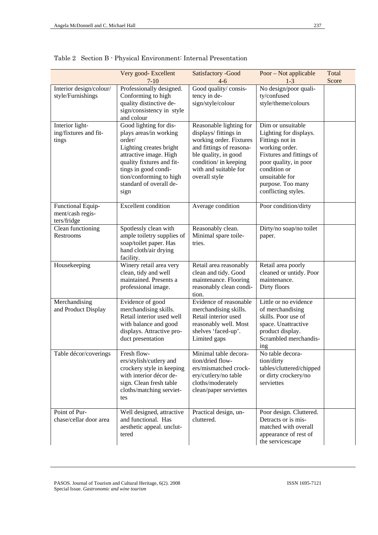|                                                      | Very good-Excellent<br>$7 - 10$                                                                                                                                                                                                    | Satisfactory -Good<br>$4-6$                                                                                                                                                                        | Poor – Not applicable<br>$1-3$                                                                                                                                                                                      | Total<br>Score |
|------------------------------------------------------|------------------------------------------------------------------------------------------------------------------------------------------------------------------------------------------------------------------------------------|----------------------------------------------------------------------------------------------------------------------------------------------------------------------------------------------------|---------------------------------------------------------------------------------------------------------------------------------------------------------------------------------------------------------------------|----------------|
| Interior design/colour/<br>style/Furnishings         | Professionally designed.<br>Conforming to high<br>quality distinctive de-<br>sign/consistency in style<br>and colour                                                                                                               | Good quality/consis-<br>tency in de-<br>sign/style/colour                                                                                                                                          | No design/poor quali-<br>ty/confused<br>style/theme/colours                                                                                                                                                         |                |
| Interior light-<br>ing/fixtures and fit-<br>tings    | Good lighting for dis-<br>plays areas/in working<br>order/<br>Lighting creates bright<br>attractive image. High<br>quality fixtures and fit-<br>tings in good condi-<br>tion/conforming to high<br>standard of overall de-<br>sign | Reasonable lighting for<br>displays/ fittings in<br>working order. Fixtures<br>and fittings of reasona-<br>ble quality, in good<br>condition/ in keeping<br>with and suitable for<br>overall style | Dim or unsuitable<br>Lighting for displays.<br>Fittings not in<br>working order.<br>Fixtures and fittings of<br>poor quality, in poor<br>condition or<br>unsuitable for<br>purpose. Too many<br>conflicting styles. |                |
| Functional Equip-<br>ment/cash regis-<br>ters/fridge | <b>Excellent</b> condition                                                                                                                                                                                                         | Average condition                                                                                                                                                                                  | Poor condition/dirty                                                                                                                                                                                                |                |
| Clean functioning<br>Restrooms                       | Spotlessly clean with<br>ample toiletry supplies of<br>soap/toilet paper. Has<br>hand cloth/air drying<br>facility.                                                                                                                | Reasonably clean.<br>Minimal spare toile-<br>tries.                                                                                                                                                | Dirty/no soap/no toilet<br>paper.                                                                                                                                                                                   |                |
| Housekeeping                                         | Winery retail area very<br>clean, tidy and well<br>maintained. Presents a<br>professional image.                                                                                                                                   | Retail area reasonably<br>clean and tidy. Good<br>maintenance. Flooring<br>reasonably clean condi-<br>tion.                                                                                        | Retail area poorly<br>cleaned or untidy. Poor<br>maintenance.<br>Dirty floors                                                                                                                                       |                |
| Merchandising<br>and Product Display                 | Evidence of good<br>merchandising skills.<br>Retail interior used well<br>with balance and good<br>displays. Attractive pro-<br>duct presentation                                                                                  | Evidence of reasonable<br>merchandising skills.<br>Retail interior used<br>reasonably well. Most<br>shelves 'faced-up'.<br>Limited gaps                                                            | Little or no evidence<br>of merchandising<br>skills. Poor use of<br>space. Unattractive<br>product display.<br>Scrambled merchandis-<br>ing                                                                         |                |
| Table décor/coverings                                | Fresh flow-<br>ers/stylish/cutlery and<br>crockery style in keeping<br>with interior décor de-<br>sign. Clean fresh table<br>cloths/matching serviet-<br>tes                                                                       | Minimal table decora-<br>tion/dried flow-<br>ers/mismatched crock-<br>ery/cutlery/no table<br>cloths/moderately<br>clean/paper serviettes                                                          | No table decora-<br>tion/dirty<br>tables/cluttered/chipped<br>or dirty crockery/no<br>serviettes                                                                                                                    |                |
| Point of Pur-<br>chase/cellar door area              | Well designed, attractive<br>and functional. Has<br>aesthetic appeal. unclut-<br>tered                                                                                                                                             | Practical design, un-<br>cluttered.                                                                                                                                                                | Poor design. Cluttered.<br>Detracts or is mis-<br>matched with overall<br>appearance of rest of<br>the servicescape                                                                                                 |                |

Table 2 Section B - Physical Environment: Internal Presentation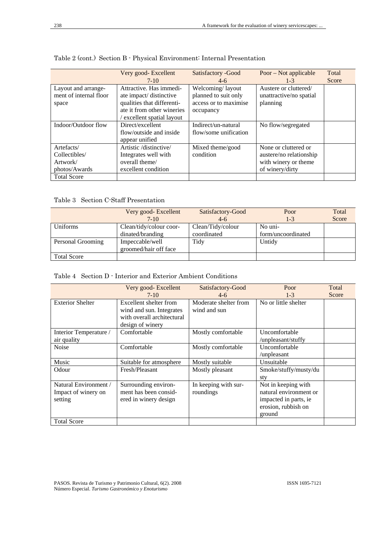|                        | Very good- Excellent       | Satisfactory - Good   | Poor – Not applicable   | Total |
|------------------------|----------------------------|-----------------------|-------------------------|-------|
|                        | $7-10$                     | $4-6$                 | $1 - 3$                 | Score |
| Layout and arrange-    | Attractive. Has immedi-    | Welcoming/layout      | Austere or cluttered/   |       |
| ment of internal floor | ate impact/ distinctive    | planned to suit only  | unattractive/no spatial |       |
| space                  | qualities that differenti- | access or to maximise | planning                |       |
|                        | ate it from other wineries | occupancy             |                         |       |
|                        | excellent spatial layout   |                       |                         |       |
| Indoor/Outdoor flow    | Direct/excellent           | Indirect/un-natural   | No flow/segregated      |       |
|                        | flow/outside and inside    | flow/some unification |                         |       |
|                        | appear unified             |                       |                         |       |
| Artefacts/             | Artistic /distinctive/     | Mixed theme/good      | None or cluttered or    |       |
| Collectibles/          | Integrates well with       | condition             | austere/no relationship |       |
| Artwork/               | overall theme/             |                       | with winery or theme    |       |
| photos/Awards          | excellent condition        |                       | of winery/dirty         |       |
| <b>Total Score</b>     |                            |                       |                         |       |

# Table 2 (cont.) Section B - Physical Environment: Internal Presentation

Table 3 Section C-Staff Presentation

|                    | Very good-Excellent<br>$7-10$            | Satisfactory-Good<br>$4-6$ | Poor<br>$1 - 3$    | Total<br>Score |
|--------------------|------------------------------------------|----------------------------|--------------------|----------------|
| Uniforms           | Clean/tidy/colour coor-                  | Clean/Tidy/colour          | No uni-            |                |
|                    | dinated/branding                         | coordinated                | form/uncoordinated |                |
| Personal Grooming  | Impeccable/well<br>groomed/hair off face | Tidy                       | Untidy             |                |
| <b>Total Score</b> |                                          |                            |                    |                |

# Table 4 Section D - Interior and Exterior Ambient Conditions

|                         | Very good-Excellent        | Satisfactory-Good     | Poor                   | Total |
|-------------------------|----------------------------|-----------------------|------------------------|-------|
|                         | $7-10$                     | $4-6$                 | $1 - 3$                | Score |
| <b>Exterior Shelter</b> | Excellent shelter from     | Moderate shelter from | No or little shelter   |       |
|                         | wind and sun. Integrates   | wind and sun          |                        |       |
|                         | with overall architectural |                       |                        |       |
|                         | design of winery           |                       |                        |       |
| Interior Temperature /  | Comfortable                | Mostly comfortable    | Uncomfortable          |       |
| air quality             |                            |                       | /unpleasant/stuffy     |       |
| <b>Noise</b>            | Comfortable                | Mostly comfortable    | Uncomfortable          |       |
|                         |                            |                       | /unpleasant            |       |
| Music                   | Suitable for atmosphere    | Mostly suitable       | Unsuitable             |       |
| Odour                   | Fresh/Pleasant             | Mostly pleasant       | Smoke/stuffy/musty/du  |       |
|                         |                            |                       | sty                    |       |
| Natural Environment /   | Surrounding environ-       | In keeping with sur-  | Not in keeping with    |       |
| Impact of winery on     | ment has been consid-      | roundings             | natural environment or |       |
| setting                 | ered in winery design      |                       | impacted in parts, ie  |       |
|                         |                            |                       | erosion, rubbish on    |       |
|                         |                            |                       | ground                 |       |
| <b>Total Score</b>      |                            |                       |                        |       |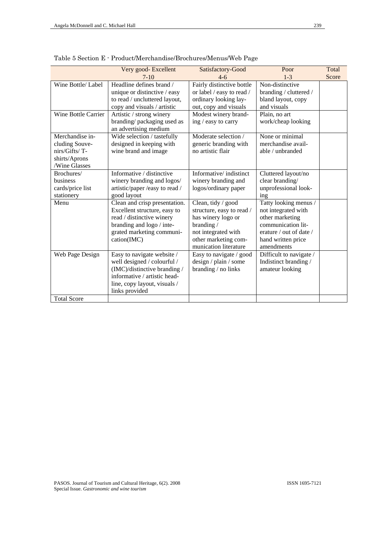|                            | Very good-Excellent<br>Satisfactory-Good            |                           | Poor                    | Total |
|----------------------------|-----------------------------------------------------|---------------------------|-------------------------|-------|
|                            | $7-10$                                              | $4-6$                     | $1 - 3$                 | Score |
| Wine Bottle/ Label         | Headline defines brand /                            | Fairly distinctive bottle | Non-distinctive         |       |
|                            | unique or distinctive / easy                        | or label / easy to read / | branding / cluttered /  |       |
|                            | to read / uncluttered layout,                       | ordinary looking lay-     | bland layout, copy      |       |
|                            | copy and visuals / artistic                         | out, copy and visuals     | and visuals             |       |
| <b>Wine Bottle Carrier</b> | Artistic / strong winery                            | Modest winery brand-      | Plain, no art           |       |
|                            | branding/packaging used as<br>an advertising medium | ing / easy to carry       | work/cheap looking      |       |
| Merchandise in-            | Wide selection / tastefully                         | Moderate selection /      | None or minimal         |       |
| cluding Souve-             | designed in keeping with                            | generic branding with     | merchandise avail-      |       |
| nirs/Gifts/T-              | wine brand and image                                | no artistic flair         | able / unbranded        |       |
| shirts/Aprons              |                                                     |                           |                         |       |
| /Wine Glasses              |                                                     |                           |                         |       |
| Brochures/                 | Informative / distinctive                           | Informative/indistinct    | Cluttered layout/no     |       |
| business                   | winery branding and logos/                          | winery branding and       | clear branding/         |       |
| cards/price list           | artistic/paper /easy to read /                      | logos/ordinary paper      | unprofessional look-    |       |
| stationery                 | good layout                                         |                           | ing                     |       |
| Menu                       | Clean and crisp presentation.                       | Clean, tidy / good        | Tatty looking menus /   |       |
|                            | Excellent structure, easy to                        | structure, easy to read / | not integrated with     |       |
|                            | read / distinctive winery                           | has winery logo or        | other marketing         |       |
|                            | branding and logo / inte-                           | branding/                 | communication lit-      |       |
|                            | grated marketing communi-                           | not integrated with       | erature / out of date / |       |
|                            | cation(IMC)                                         | other marketing com-      | hand written price      |       |
|                            |                                                     | munication literature     | amendments              |       |
| Web Page Design            | Easy to navigate website /                          | Easy to navigate / good   | Difficult to navigate / |       |
|                            | well designed / colourful /                         | design / plain / some     | Indistinct branding /   |       |
|                            | (IMC)/distinctive branding /                        | branding / no links       | amateur looking         |       |
|                            | informative / artistic head-                        |                           |                         |       |
|                            | line, copy layout, visuals /<br>links provided      |                           |                         |       |
| <b>Total Score</b>         |                                                     |                           |                         |       |
|                            |                                                     |                           |                         |       |

Table 5 Section E - Product/Merchandise/Brochures/Menus/Web Page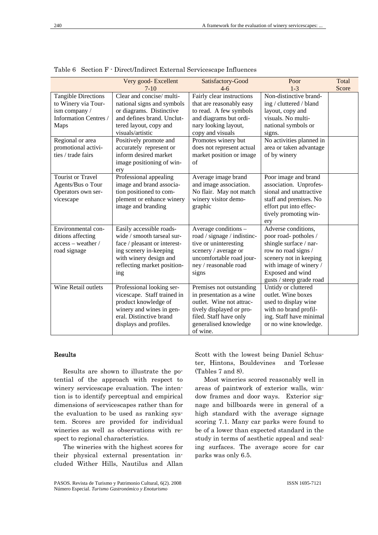|                            | Very good- Excellent         | Satisfactory-Good           | Poor                     | Total |
|----------------------------|------------------------------|-----------------------------|--------------------------|-------|
|                            | $7-10$                       | $4-6$                       | $1 - 3$                  | Score |
| <b>Tangible Directions</b> | Clear and concise/multi-     | Fairly clear instructions   | Non-distinctive brand-   |       |
| to Winery via Tour-        | national signs and symbols   | that are reasonably easy    | ing / cluttered / bland  |       |
| ism company /              | or diagrams. Distinctive     | to read. A few symbols      | layout, copy and         |       |
| Information Centres /      | and defines brand. Unclut-   | and diagrams but ordi-      | visuals. No multi-       |       |
| Maps                       | tered layout, copy and       | nary looking layout,        | national symbols or      |       |
|                            | visuals/artistic             | copy and visuals            | signs.                   |       |
| Regional or area           | Positively promote and       | Promotes winery but         | No activities planned in |       |
| promotional activi-        | accurately represent or      | does not represent actual   | area or taken advantage  |       |
| ties / trade fairs         | inform desired market        | market position or image    | of by winery             |       |
|                            | image positioning of win-    | of                          |                          |       |
|                            | ery                          |                             |                          |       |
| <b>Tourist or Travel</b>   | Professional appealing       | Average image brand         | Poor image and brand     |       |
| Agents/Bus o Tour          | image and brand associa-     | and image association.      | association. Unprofes-   |       |
| Operators own ser-         | tion positioned to com-      | No flair. May not match     | sional and unattractive  |       |
| vicescape                  | plement or enhance winery    | winery visitor demo-        | staff and premises. No   |       |
|                            | image and branding           | graphic                     | effort put into effec-   |       |
|                            |                              |                             | tively promoting win-    |       |
|                            |                              |                             | ery                      |       |
| Environmental con-         | Easily accessible roads-     | Average conditions -        | Adverse conditions,      |       |
| ditions affecting          | wide / smooth tarseal sur-   | road / signage / indistinc- | poor road-potholes /     |       |
| access - weather /         | face / pleasant or interest- | tive or uninteresting       | shingle surface / nar-   |       |
| road signage               | ing scenery in-keeping       | scenery / average or        | row no road signs /      |       |
|                            | with winery design and       | uncomfortable road jour-    | scenery not in keeping   |       |
|                            | reflecting market position-  | ney / reasonable road       | with image of winery /   |       |
|                            | ing                          | signs                       | Exposed and wind         |       |
|                            |                              |                             | gusts / steep grade road |       |
| Wine Retail outlets        | Professional looking ser-    | Premises not outstanding    | Untidy or cluttered      |       |
|                            | vicescape. Staff trained in  | in presentation as a wine   | outlet. Wine boxes       |       |
|                            | product knowledge of         | outlet. Wine not attrac-    | used to display wine     |       |
|                            | winery and wines in gen-     | tively displayed or pro-    | with no brand profil-    |       |
|                            | eral. Distinctive brand      | filed. Staff have only      | ing. Staff have minimal  |       |
|                            | displays and profiles.       | generalised knowledge       | or no wine knowledge.    |       |
|                            |                              | of wine.                    |                          |       |

Table 6 Section F - Direct/Indirect External Servicescape Influences

### Results

Results are shown to illustrate the potential of the approach with respect to winery servicescape evaluation. The intention is to identify perceptual and empirical dimensions of servicescapes rather than for the evaluation to be used as ranking system. Scores are provided for individual wineries as well as observations with respect to regional characteristics.

The wineries with the highest scores for their physical external presentation included Wither Hills, Nautilus and Allan

PASOS. Revista de Turismo y Patrimonio Cultural, 6(2). 2008 Número Especial. *Turismo Gastronómico y Enoturismo* 

Scott with the lowest being Daniel Schuster, Hintons, Bouldevines and Torlesse (Tables 7 and 8).

Most wineries scored reasonably well in areas of paintwork of exterior walls, window frames and door ways. Exterior signage and billboards were in general of a high standard with the average signage scoring 7.1. Many car parks were found to be of a lower than expected standard in the study in terms of aesthetic appeal and sealing surfaces. The average score for car parks was only 6.5.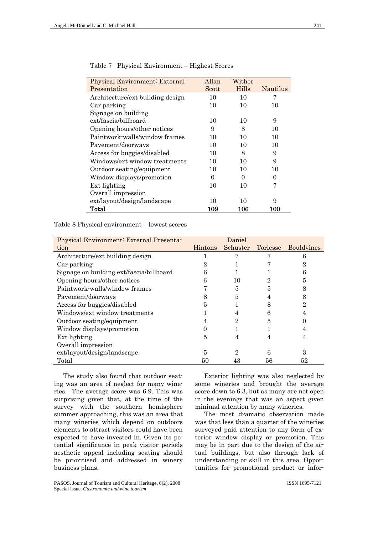| Physical Environment: External   | Allan | Wither |                   |
|----------------------------------|-------|--------|-------------------|
| Presentation                     | Scott | Hills  | Nautilus          |
| Architecture/ext building design | 10    | 10     | 7                 |
| Car parking                      | 10    | 10     | 10                |
| Signage on building              |       |        |                   |
| ext/fascia/billboard             | 10    | 10     | 9                 |
| Opening hours/other notices      | 9     | 8      | 10                |
| Paintwork-walls/window frames    | 10    | 10     | 10                |
| Pavement/doorways                | 10    | 10     | 10                |
| Access for buggies/disabled      | 10    | 8      | 9                 |
| Windows/ext window treatments    | 10    | 10     | 9                 |
| Outdoor seating/equipment        | 10    | 10     | 10                |
| Window displays/promotion        | 0     | 0      | $\mathbf{\Omega}$ |
| Ext lighting                     | 10    | 10     | 7                 |
| Overall impression               |       |        |                   |
| ext/layout/design/landscape      | 10    | 10     | 9                 |
| Total                            | 109   | 106    | 100               |

| Table 7 |  | Physical Environment – Highest Scores |
|---------|--|---------------------------------------|
|         |  |                                       |

Table 8 Physical environment – lowest scores

| Physical Environment: External Presenta- |                | Daniel   |    |                     |
|------------------------------------------|----------------|----------|----|---------------------|
| tion                                     | <b>Hintons</b> | Schuster |    | Torlesse Bouldvines |
| Architecture/ext building design         |                |          |    | 6                   |
| Car parking                              |                |          |    | 2                   |
| Signage on building ext/fascia/billboard | 6              |          |    | 6                   |
| Opening hours/other notices              |                | 10       |    | 5                   |
| Paintwork-walls/window frames            |                | 5        |    |                     |
| Pavement/doorways                        |                | 5        |    | 8                   |
| Access for buggies/disabled              |                |          |    | 2                   |
| Windows/ext window treatments            |                |          |    |                     |
| Outdoor seating/equipment                |                | 2        | 5  |                     |
| Window displays/promotion                |                |          |    |                     |
| Ext lighting                             | 5              | 4        |    |                     |
| Overall impression                       |                |          |    |                     |
| ext/layout/design/landscape              | 5              | 2        | 6  | З                   |
| Total                                    | 50             |          | 56 | 52                  |

The study also found that outdoor seating was an area of neglect for many wineries. The average score was 6.9. This was surprising given that, at the time of the survey with the southern hemisphere summer approaching, this was an area that many wineries which depend on outdoors elements to attract visitors could have been expected to have invested in. Given its potential significance in peak visitor periods aesthetic appeal including seating should be prioritised and addressed in winery business plans.

PASOS. Journal of Tourism and Cultural Heritage, 6(2). 2008 Special Issue. *Gastronomic and wine tourism* 

Exterior lighting was also neglected by some wineries and brought the average score down to 6.3, but as many are not open in the evenings that was an aspect given minimal attention by many wineries.

The most dramatic observation made was that less than a quarter of the wineries surveyed paid attention to any form of exterior window display or promotion. This may be in part due to the design of the actual buildings, but also through lack of understanding or skill in this area. Opportunities for promotional product or infor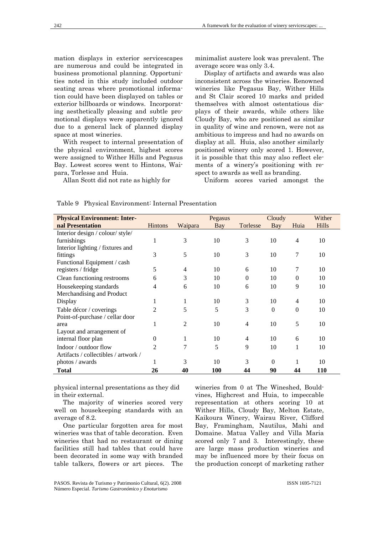mation displays in exterior servicescapes are numerous and could be integrated in business promotional planning. Opportunities noted in this study included outdoor seating areas where promotional information could have been displayed on tables or exterior billboards or windows. Incorporating aesthetically pleasing and subtle promotional displays were apparently ignored due to a general lack of planned display space at most wineries.

With respect to internal presentation of the physical environment, highest scores were assigned to Wither Hills and Pegasus Bay. Lowest scores went to Hintons, Waipara, Torlesse and Huia.

Allan Scott did not rate as highly for

minimalist austere look was prevalent. The average score was only 3.4.

Display of artifacts and awards was also inconsistent across the wineries. Renowned wineries like Pegasus Bay, Wither Hills and St Clair scored 10 marks and prided themselves with almost ostentatious displays of their awards, while others like Cloudy Bay, who are positioned as similar in quality of wine and renown, were not as ambitious to impress and had no awards on display at all. Huia, also another similarly positioned winery only scored 1. However, it is possible that this may also reflect elements of a winery's positioning with respect to awards as well as branding.

Uniform scores varied amongst the

#### Table 9 Physical Environment: Internal Presentation

| <b>Physical Environment: Inter-</b>  |                |         | Pegasus |          | Cloudy   |          | Wither       |
|--------------------------------------|----------------|---------|---------|----------|----------|----------|--------------|
| nal Presentation                     | <b>Hintons</b> | Waipara | Bay     | Torlesse | Bay      | Huia     | <b>Hills</b> |
| Interior design / colour/ style/     |                |         |         |          |          |          |              |
| furnishings                          |                | 3       | 10      | 3        | 10       | 4        | 10           |
| Interior lighting / fixtures and     |                |         |         |          |          |          |              |
| fittings                             | 3              | 5       | 10      | 3        | 10       | 7        | 10           |
| Functional Equipment / cash          |                |         |         |          |          |          |              |
| registers / fridge                   | 5              | 4       | 10      | 6        | 10       | 7        | 10           |
| Clean functioning restrooms          | 6              | 3       | 10      | $\Omega$ | 10       | $\Omega$ | 10           |
| Housekeeping standards               | 4              | 6       | 10      | 6        | 10       | 9        | 10           |
| Merchandising and Product            |                |         |         |          |          |          |              |
| Display                              |                |         | 10      | 3        | 10       | 4        | 10           |
| Table décor / coverings              | 2              | 5       | 5       | 3        | $\Omega$ | 0        | 10           |
| Point-of-purchase / cellar door      |                |         |         |          |          |          |              |
| area                                 |                | 2       | 10      | 4        | 10       | 5        | 10           |
| Layout and arrangement of            |                |         |         |          |          |          |              |
| internal floor plan                  | $\Omega$       | 1       | 10      | 4        | 10       | 6        | 10           |
| Indoor / outdoor flow                | 2              | 7       | 5       | 9        | 10       |          | 10           |
| Artifacts / collectibles / artwork / |                |         |         |          |          |          |              |
| photos / awards                      |                | 3       | 10      | 3        | $\Omega$ |          | 10           |
| <b>Total</b>                         | 26             | 40      | 100     | 44       | 90       | 44       | <b>110</b>   |

physical internal presentations as they did in their external.

The majority of wineries scored very well on housekeeping standards with an average of 8.2.

One particular forgotten area for most wineries was that of table decoration. Even wineries that had no restaurant or dining facilities still had tables that could have been decorated in some way with branded table talkers, flowers or art pieces. The

PASOS. Revista de Turismo y Patrimonio Cultural, 6(2). 2008 Número Especial. *Turismo Gastronómico y Enoturismo* 

wineries from 0 at The Wineshed, Bouldvines, Highcrest and Huia, to impeccable representation at others scoring 10 at Wither Hills, Cloudy Bay, Melton Estate, Kaikoura Winery, Wairau River, Clifford Bay, Framingham, Nautilus, Mahi and Domaine. Matua Valley and Villa Maria scored only 7 and 3. Interestingly, these are large mass production wineries and may be influenced more by their focus on the production concept of marketing rather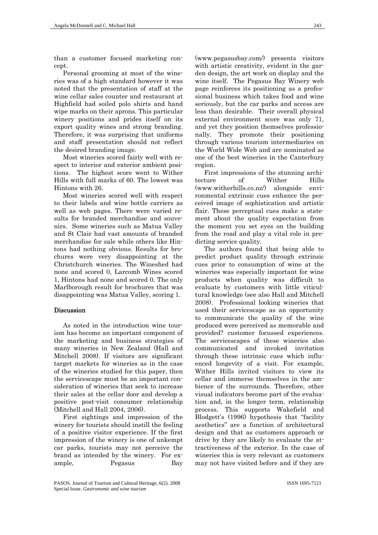than a customer focused marketing concept.

Personal grooming at most of the wineries was of a high standard however it was noted that the presentation of staff at the wine cellar sales counter and restaurant at Highfield had soiled polo shirts and hand wipe marks on their aprons. This particular winery positions and prides itself on its export quality wines and strong branding. Therefore, it was surprising that uniforms and staff presentation should not reflect the desired branding image.

Most wineries scored fairly well with respect to interior and exterior ambient positions. The highest score went to Wither Hills with full marks of 60. The lowest was Hintons with 26.

Most wineries scored well with respect to their labels and wine bottle carriers as well as web pages. There were varied results for branded merchandise and souvenirs. Some wineries such as Matua Valley and St Clair had vast amounts of branded merchandise for sale while others like Hintons had nothing obvious. Results for brochures were very disappointing at the Christchurch wineries. The Wineshed had none and scored 0, Larcomb Wines scored 1, Hintons had none and scored 0. The only Marlborough result for brochures that was disappointing was Matua Valley, scoring 1.

### Discussion

As noted in the introduction wine tourism has become an important component of the marketing and business strategies of many wineries in New Zealand (Hall and Mitchell 2008). If visitors are significant target markets for wineries as in the case of the wineries studied for this paper, then the servicescape must be an important consideration of wineries that seek to increase their sales at the cellar door and develop a positive post-visit consumer relationship (Mitchell and Hall 2004, 2006).

First sightings and impression of the winery for tourists should instill the feeling of a positive visitor experience. If the first impression of the winery is one of unkempt car parks, tourists may not perceive the brand as intended by the winery. For example, Pegasus Bay (www.pegasusbay.com/) presents visitors with artistic creativity, evident in the garden design, the art work on display and the wine itself. The Pegasus Bay Winery web page reinforces its positioning as a professional business which takes food and wine seriously, but the car parks and access are less than desirable. Their overall physical external environment score was only 71, and yet they position themselves professionally. They promote their positioning through various tourism intermediaries on the World Wide Web and are nominated as one of the best wineries in the Canterbury region.

First impressions of the stunning architecture of Wither Hills (www.witherhills.co.nz/) alongside environmental extrinsic cues enhance the perceived image of sophistication and artistic flair. These perceptual cues make a statement about the quality expectation from the moment you set eyes on the building from the road and play a vital role in predicting service quality.

The authors found that being able to predict product quality through extrinsic cues prior to consumption of wine at the wineries was especially important for wine products when quality was difficult to evaluate by customers with little viticultural knowledge (see also Hall and Mitchell 2008). Professional looking wineries that used their servicescape as an opportunity to communicate the quality of the wine produced were perceived as memorable and provided? customer focussed experiences. The servicescapes of these wineries also communicated and invoked invitation through these intrinsic cues which influenced longevity of a visit. For example, Wither Hills invited visitors to view its cellar and immerse themselves in the ambience of the surrounds. Therefore, other visual indicators become part of the evaluation and, in the longer term, relationship process. This supports Wakefield and Blodgett's (1996) hypothesis that "facility aesthetics" are a function of architectural design and that as customers approach or drive by they are likely to evaluate the attractiveness of the exterior. In the case of wineries this is very relevant as customers may not have visited before and if they are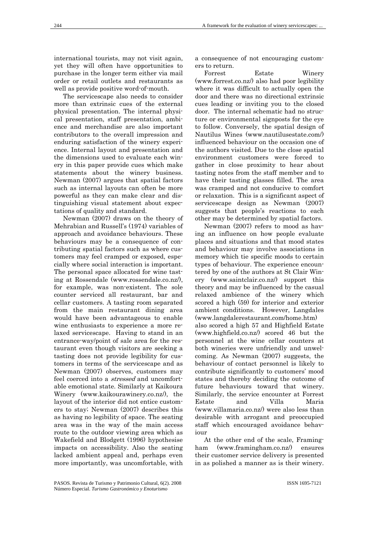international tourists, may not visit again, yet they will often have opportunities to purchase in the longer term either via mail order or retail outlets and restaurants as well as provide positive word-of-mouth.

The servicescape also needs to consider more than extrinsic cues of the external physical presentation. The internal physical presentation, staff presentation, ambience and merchandise are also important contributors to the overall impression and enduring satisfaction of the winery experience. Internal layout and presentation and the dimensions used to evaluate each winery in this paper provide cues which make statements about the winery business. Newman (2007) argues that spatial factors such as internal layouts can often be more powerful as they can make clear and distinguishing visual statement about expectations of quality and standard.

Newman (2007) draws on the theory of Mehrabian and Russell's (1974) variables of approach and avoidance behaviours. These behaviours may be a consequence of contributing spatial factors such as where customers may feel cramped or exposed, especially where social interaction is important. The personal space allocated for wine tasting at Rossendale (www.rossendale.co.nz/), for example, was non-existent. The sole counter serviced all restaurant, bar and cellar customers. A tasting room separated from the main restaurant dining area would have been advantageous to enable wine enthusiasts to experience a more relaxed servicescape. Having to stand in an entrance-way/point of sale area for the restaurant even though visitors are seeking a tasting does not provide legibility for customers in terms of the servicescape and as Newman (2007) observes, customers may feel coerced into a *stressed* and uncomfortable emotional state. Similarly at Kaikoura Winery (www.kaikourawinery.co.nz/), the layout of the interior did not entice customers to stay; Newman (2007) describes this as having no legibility of space. The seating area was in the way of the main access route to the outdoor viewing area which as Wakefield and Blodgett (1996) hypothesise impacts on accessibility. Also the seating lacked ambient appeal and, perhaps even more importantly, was uncomfortable, with

a consequence of not encouraging customers to return.

Forrest Estate Winery (www.forrest.co.nz/) also had poor legibility where it was difficult to actually open the door and there was no directional extrinsic cues leading or inviting you to the closed door. The internal schematic had no structure or environmental signposts for the eye to follow. Conversely, the spatial design of Nautilus Wines (www.nautilusestate.com/) influenced behaviour on the occasion one of the authors visited. Due to the close spatial environment customers were forced to gather in close proximity to hear about tasting notes from the staff member and to have their tasting glasses filled. The area was cramped and not conducive to comfort or relaxation. This is a significant aspect of servicescape design as Newman (2007) suggests that people's reactions to each other may be determined by spatial factors.

Newman (2007) refers to mood as having an influence on how people evaluate places and situations and that mood states and behaviour may involve associations in memory which tie specific moods to certain types of behaviour. The experience encountered by one of the authors at St Clair Winery (www.saintclair.co.nz/) support this theory and may be influenced by the casual relaxed ambience of the winery which scored a high (59) for interior and exterior ambient conditions. However, Langdales (www.langdalerestaurant.com/home.htm) also scored a high 57 and Highfield Estate (www.highfield.co.nz/) scored 46 but the personnel at the wine cellar counters at both wineries were unfriendly and unwelcoming. As Newman (2007) suggests, the behaviour of contact personnel is likely to contribute significantly to customers' mood states and thereby deciding the outcome of future behaviours toward that winery. Similarly, the service encounter at Forrest Estate and Villa Maria (www.villamaria.co.nz/) were also less than desirable with arrogant and preoccupied staff which encouraged avoidance behaviour

At the other end of the scale, Framingham (www.framingham.co.nz/) ensures their customer service delivery is presented in as polished a manner as is their winery.

PASOS. Revista de Turismo y Patrimonio Cultural, 6(2). 2008 Número Especial. *Turismo Gastronómico y Enoturismo*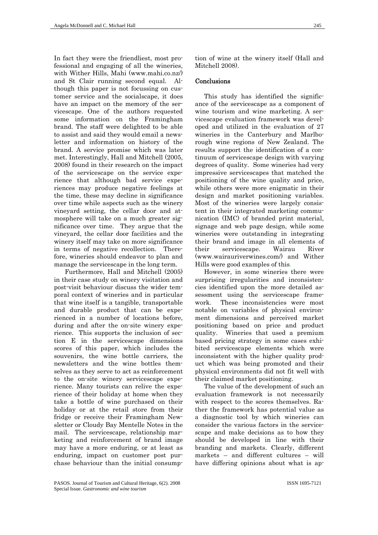In fact they were the friendliest, most professional and engaging of all the wineries, with Wither Hills, Mahi (www.mahi.co.nz/) and St Clair running second equal. Although this paper is not focussing on customer service and the socialscape, it does have an impact on the memory of the servicescape. One of the authors requested some information on the Framingham brand. The staff were delighted to be able to assist and said they would email a newsletter and information on history of the brand. A service promise which was later met. Interestingly, Hall and Mitchell (2005, 2008) found in their research on the impact of the servicescape on the service experience that although bad service experiences may produce negative feelings at the time, these may decline in significance over time while aspects such as the winery vineyard setting, the cellar door and atmosphere will take on a much greater significance over time. They argue that the vineyard, the cellar door facilities and the winery itself may take on more significance in terms of negative recollection. Therefore, wineries should endeavor to plan and manage the servicescape in the long term.

 Furthermore, Hall and Mitchell (2005) in their case study on winery visitation and post-visit behaviour discuss the wider temporal context of wineries and in particular that wine itself is a tangible, transportable and durable product that can be experienced in a number of locations before, during and after the on-site winery experience. This supports the inclusion of section E in the servicescape dimensions scores of this paper, which includes the souvenirs, the wine bottle carriers, the newsletters and the wine bottles themselves as they serve to act as reinforcement to the on-site winery servicescape experience. Many tourists can relive the experience of their holiday at home when they take a bottle of wine purchased on their holiday or at the retail store from their fridge or receive their Framingham Newsletter or Cloudy Bay Mentelle Notes in the mail. The servicescape, relationship marketing and reinforcement of brand image may have a more enduring, or at least as enduring, impact on customer post purchase behaviour than the initial consumption of wine at the winery itself (Hall and Mitchell 2008).

### Conclusions

This study has identified the significance of the servicescape as a component of wine tourism and wine marketing. A servicescape evaluation framework was developed and utilized in the evaluation of 27 wineries in the Canterbury and Marlborough wine regions of New Zealand. The results support the identification of a continuum of servicescape design with varying degrees of quality. Some wineries had very impressive servicescapes that matched the positioning of the wine quality and price, while others were more enigmatic in their design and market positioning variables. Most of the wineries were largely consistent in their integrated marketing communication (IMC) of branded print material, signage and web page design, while some wineries were outstanding in integrating their brand and image in all elements of their servicescape. Wairau River (www.wairauriverwines.com/) and Wither Hills were good examples of this.

However, in some wineries there were surprising irregularities and inconsistencies identified upon the more detailed assessment using the servicescape framework. These inconsistencies were most notable on variables of physical environment dimensions and perceived market positioning based on price and product quality. Wineries that used a premium based pricing strategy in some cases exhibited servicescape elements which were inconsistent with the higher quality product which was being promoted and their physical environments did not fit well with their claimed market positioning.

The value of the development of such an evaluation framework is not necessarily with respect to the scores themselves. Rather the framework has potential value as a diagnostic tool by which wineries can consider the various factors in the servicescape and make decisions as to how they should be developed in line with their branding and markets. Clearly, different markets – and different cultures – will have differing opinions about what is ap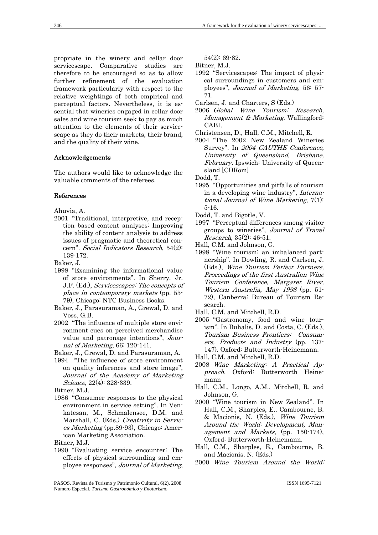propriate in the winery and cellar door servicescape. Comparative studies are therefore to be encouraged so as to allow further refinement of the evaluation framework particularly with respect to the relative weightings of both empirical and perceptual factors. Nevertheless, it is essential that wineries engaged in cellar door sales and wine tourism seek to pay as much attention to the elements of their servicescape as they do their markets, their brand, and the quality of their wine.

#### Acknowledgements

The authors would like to acknowledge the valuable comments of the referees.

#### References

Ahuvia, A.

2001 "Traditional, interpretive, and reception based content analyses: Improving the ability of content analysis to address issues of pragmatic and theoretical concern". Social Indicators Research, 54(2): 139-172.

Baker, J.

- 1998 "Examining the informational value of store environments". In Sherry, Jr. J.F. (Ed.), Servicescapes: The concepts of place in contemporary markets (pp. 55- 79), Chicago: NTC Business Books.
- Baker, J., Parasuraman, A., Grewal, D. and Voss, G.B.
- 2002 "The influence of multiple store environment cues on perceived merchandise value and patronage intentions", Journal of Marketing, 66: 120-141.

Baker, J., Grewal, D. and Parasuraman, A.

1994 "The influence of store environment on quality inferences and store image", Journal of the Academy of Marketing Science, 22(4): 328-339.

Bitner, M.J.

1986 "Consumer responses to the physical environment in service setting". In Venkatesan, M., Schmalensee, D.M. and Marshall, C. (Eds.) Creativity in Services Marketing (pp.89-93), Chicago: American Marketing Association.

Bitner, M.J.

1990 "Evaluating service encounter: The effects of physical surrounding and employee responses", Journal of Marketing, 54(2): 69-82.

Bitner, M.J.

- 1992 "Servicescapes: The impact of physical surroundings in customers and employees", Journal of Marketing, 56: 57- 71.
- Carlsen, J. and Charters, S (Eds.)
- 2006 Global Wine Tourism: Research, Management & Marketing. Wallingford: CABI.
- Christensen, D., Hall, C.M., Mitchell, R.
- 2004 "The 2002 New Zealand Wineries Survey". In 2004 CAUTHE Conference, University of Queensland, Brisbane, February. Ipswich: University of Queensland [CDRom]

Dodd, T.

- 1995 "Opportunities and pitfalls of tourism in a developing wine industry'', International Journal of Wine Marketing, 7(1): 5-16.
- Dodd, T. and Bigotle, V.
- 1997 "Perceptual differences among visitor groups to wineries'', Journal of Travel Research, 35(2): 46-51.
- Hall, C.M. and Johnson, G.
- 1998 "Wine tourism: an imbalanced partnership". In Dowling, R. and Carlsen, J. (Eds.), Wine Tourism Perfect Partners, Proceedings of the first Australian Wine Tourism Conference, Margaret River, Western Australia, May 1998 (pp. 51- 72), Canberra: Bureau of Tourism Research.
- Hall, C.M. and Mitchell, R.D.
- 2005 "Gastronomy, food and wine tourism". In Buhalis, D. and Costa, C. (Eds.), Tourism Business Frontiers: Consumers, Products and Industry (pp. 137- 147). Oxford: Butterworth-Heinemann.
- Hall, C.M. and Mitchell, R.D.
- 2008 Wine Marketing: A Practical Approach. Oxford: Butterworth Heinemann
- Hall, C.M., Longo, A.M., Mitchell, R. and Johnson, G.
- 2000 "Wine tourism in New Zealand". In Hall, C.M., Sharples, E., Cambourne, B. & Macionis, N. (Eds.), Wine Tourism Around the World: Development, Management and Markets, (pp. 150-174), Oxford: Butterworth-Heinemann.
- Hall, C.M., Sharples, E., Cambourne, B. and Macionis, N. (Eds.)
- 2000 Wine Tourism Around the World:

PASOS. Revista de Turismo y Patrimonio Cultural, 6(2). 2008 Número Especial. *Turismo Gastronómico y Enoturismo*